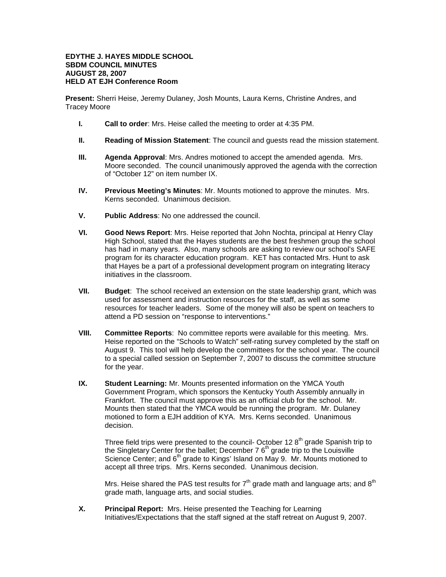## **EDYTHE J. HAYES MIDDLE SCHOOL SBDM COUNCIL MINUTES AUGUST 28, 2007 HELD AT EJH Conference Room**

**Present:** Sherri Heise, Jeremy Dulaney, Josh Mounts, Laura Kerns, Christine Andres, and Tracey Moore

- **I. Call to order**: Mrs. Heise called the meeting to order at 4:35 PM.
- **II. Reading of Mission Statement**: The council and guests read the mission statement.
- **III. Agenda Approval**: Mrs. Andres motioned to accept the amended agenda. Mrs. Moore seconded. The council unanimously approved the agenda with the correction of "October 12" on item number IX.
- **IV. Previous Meeting's Minutes**: Mr. Mounts motioned to approve the minutes. Mrs. Kerns seconded. Unanimous decision.
- **V. Public Address**: No one addressed the council.
- **VI. Good News Report**: Mrs. Heise reported that John Nochta, principal at Henry Clay High School, stated that the Hayes students are the best freshmen group the school has had in many years. Also, many schools are asking to review our school's SAFE program for its character education program. KET has contacted Mrs. Hunt to ask that Hayes be a part of a professional development program on integrating literacy initiatives in the classroom.
- **VII. Budget**: The school received an extension on the state leadership grant, which was used for assessment and instruction resources for the staff, as well as some resources for teacher leaders. Some of the money will also be spent on teachers to attend a PD session on "response to interventions."
- **VIII. Committee Reports**: No committee reports were available for this meeting. Mrs. Heise reported on the "Schools to Watch" self-rating survey completed by the staff on August 9. This tool will help develop the committees for the school year. The council to a special called session on September 7, 2007 to discuss the committee structure for the year.
- **IX. Student Learning:** Mr. Mounts presented information on the YMCA Youth Government Program, which sponsors the Kentucky Youth Assembly annually in Frankfort. The council must approve this as an official club for the school. Mr. Mounts then stated that the YMCA would be running the program. Mr. Dulaney motioned to form a EJH addition of KYA. Mrs. Kerns seconded. Unanimous decision.

Three field trips were presented to the council- October 12 8<sup>th</sup> grade Spanish trip to the Singletary Center for the ballet; December 7 6<sup>th</sup> grade trip to the Louisville Science Center; and 6<sup>th</sup> grade to Kings' Island on May 9. Mr. Mounts motioned to accept all three trips. Mrs. Kerns seconded. Unanimous decision.

Mrs. Heise shared the PAS test results for  $7<sup>th</sup>$  grade math and language arts; and  $8<sup>th</sup>$ grade math, language arts, and social studies.

**X. Principal Report:** Mrs. Heise presented the Teaching for Learning Initiatives/Expectations that the staff signed at the staff retreat on August 9, 2007.